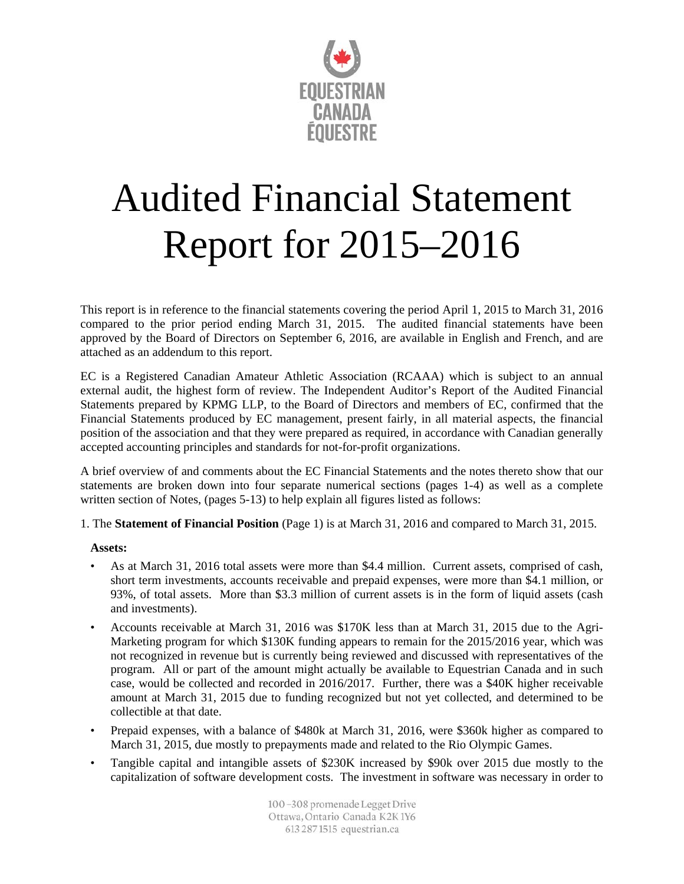

## Audited Financial Statement Report for 2015–2016

This report is in reference to the financial statements covering the period April 1, 2015 to March 31, 2016 compared to the prior period ending March 31, 2015. The audited financial statements have been approved by the Board of Directors on September 6, 2016, are available in English and French, and are attached as an addendum to this report.

EC is a Registered Canadian Amateur Athletic Association (RCAAA) which is subject to an annual external audit, the highest form of review. The Independent Auditor's Report of the Audited Financial Statements prepared by KPMG LLP, to the Board of Directors and members of EC, confirmed that the Financial Statements produced by EC management, present fairly, in all material aspects, the financial position of the association and that they were prepared as required, in accordance with Canadian generally accepted accounting principles and standards for not-for-profit organizations.

A brief overview of and comments about the EC Financial Statements and the notes thereto show that our statements are broken down into four separate numerical sections (pages 1-4) as well as a complete written section of Notes, (pages 5-13) to help explain all figures listed as follows:

1. The **Statement of Financial Position** (Page 1) is at March 31, 2016 and compared to March 31, 2015.

## **Assets:**

- As at March 31, 2016 total assets were more than \$4.4 million. Current assets, comprised of cash, short term investments, accounts receivable and prepaid expenses, were more than \$4.1 million, or 93%, of total assets. More than \$3.3 million of current assets is in the form of liquid assets (cash and investments).
- Accounts receivable at March 31, 2016 was \$170K less than at March 31, 2015 due to the Agri-Marketing program for which \$130K funding appears to remain for the 2015/2016 year, which was not recognized in revenue but is currently being reviewed and discussed with representatives of the program. All or part of the amount might actually be available to Equestrian Canada and in such case, would be collected and recorded in 2016/2017. Further, there was a \$40K higher receivable amount at March 31, 2015 due to funding recognized but not yet collected, and determined to be collectible at that date.
- Prepaid expenses, with a balance of \$480k at March 31, 2016, were \$360k higher as compared to March 31, 2015, due mostly to prepayments made and related to the Rio Olympic Games.
- Tangible capital and intangible assets of \$230K increased by \$90k over 2015 due mostly to the capitalization of software development costs. The investment in software was necessary in order to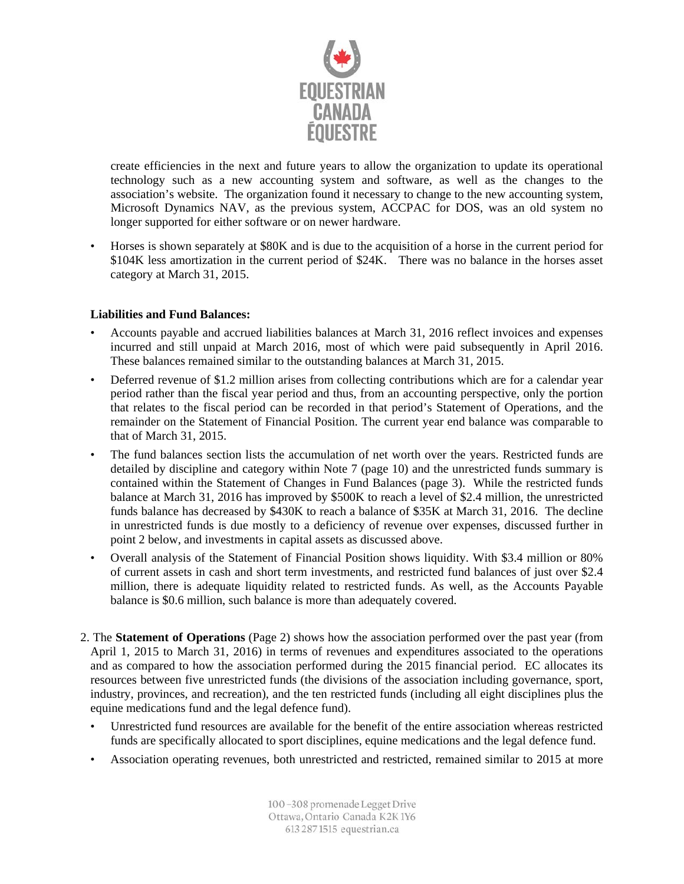

create efficiencies in the next and future years to allow the organization to update its operational technology such as a new accounting system and software, as well as the changes to the association's website. The organization found it necessary to change to the new accounting system, Microsoft Dynamics NAV, as the previous system, ACCPAC for DOS, was an old system no longer supported for either software or on newer hardware.

• Horses is shown separately at \$80K and is due to the acquisition of a horse in the current period for \$104K less amortization in the current period of \$24K. There was no balance in the horses asset category at March 31, 2015.

## **Liabilities and Fund Balances:**

- Accounts payable and accrued liabilities balances at March 31, 2016 reflect invoices and expenses incurred and still unpaid at March 2016, most of which were paid subsequently in April 2016. These balances remained similar to the outstanding balances at March 31, 2015.
- Deferred revenue of \$1.2 million arises from collecting contributions which are for a calendar year period rather than the fiscal year period and thus, from an accounting perspective, only the portion that relates to the fiscal period can be recorded in that period's Statement of Operations, and the remainder on the Statement of Financial Position. The current year end balance was comparable to that of March 31, 2015.
- The fund balances section lists the accumulation of net worth over the years. Restricted funds are detailed by discipline and category within Note 7 (page 10) and the unrestricted funds summary is contained within the Statement of Changes in Fund Balances (page 3). While the restricted funds balance at March 31, 2016 has improved by \$500K to reach a level of \$2.4 million, the unrestricted funds balance has decreased by \$430K to reach a balance of \$35K at March 31, 2016. The decline in unrestricted funds is due mostly to a deficiency of revenue over expenses, discussed further in point 2 below, and investments in capital assets as discussed above.
- Overall analysis of the Statement of Financial Position shows liquidity. With \$3.4 million or 80% of current assets in cash and short term investments, and restricted fund balances of just over \$2.4 million, there is adequate liquidity related to restricted funds. As well, as the Accounts Payable balance is \$0.6 million, such balance is more than adequately covered.
- 2. The **Statement of Operations** (Page 2) shows how the association performed over the past year (from April 1, 2015 to March 31, 2016) in terms of revenues and expenditures associated to the operations and as compared to how the association performed during the 2015 financial period. EC allocates its resources between five unrestricted funds (the divisions of the association including governance, sport, industry, provinces, and recreation), and the ten restricted funds (including all eight disciplines plus the equine medications fund and the legal defence fund).
	- Unrestricted fund resources are available for the benefit of the entire association whereas restricted funds are specifically allocated to sport disciplines, equine medications and the legal defence fund.
	- Association operating revenues, both unrestricted and restricted, remained similar to 2015 at more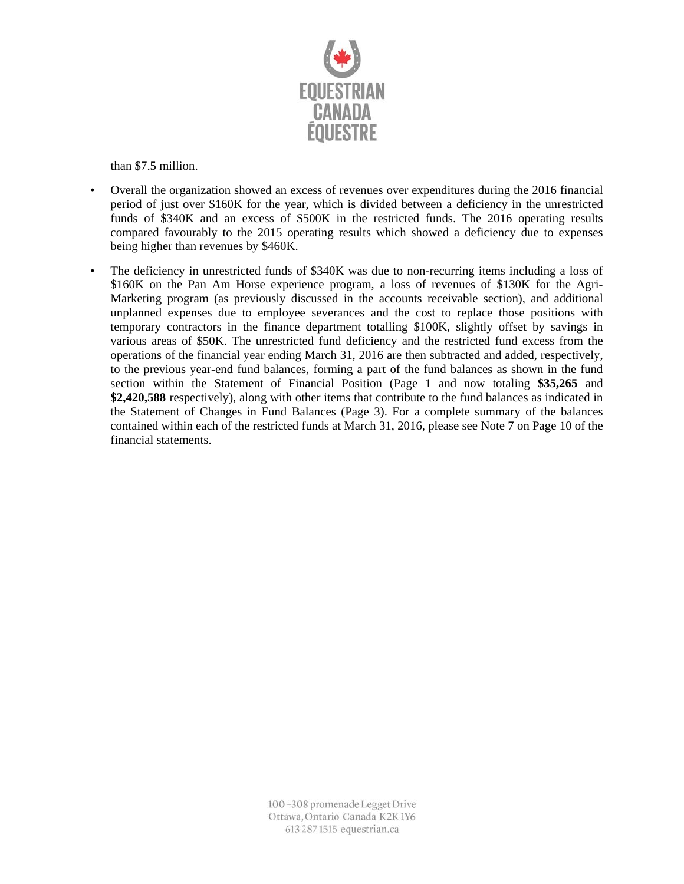

than \$7.5 million.

- Overall the organization showed an excess of revenues over expenditures during the 2016 financial period of just over \$160K for the year, which is divided between a deficiency in the unrestricted funds of \$340K and an excess of \$500K in the restricted funds. The 2016 operating results compared favourably to the 2015 operating results which showed a deficiency due to expenses being higher than revenues by \$460K.
- The deficiency in unrestricted funds of \$340K was due to non-recurring items including a loss of \$160K on the Pan Am Horse experience program, a loss of revenues of \$130K for the Agri-Marketing program (as previously discussed in the accounts receivable section), and additional unplanned expenses due to employee severances and the cost to replace those positions with temporary contractors in the finance department totalling \$100K, slightly offset by savings in various areas of \$50K. The unrestricted fund deficiency and the restricted fund excess from the operations of the financial year ending March 31, 2016 are then subtracted and added, respectively, to the previous year-end fund balances, forming a part of the fund balances as shown in the fund section within the Statement of Financial Position (Page 1 and now totaling **\$35,265** and **\$2,420,588** respectively), along with other items that contribute to the fund balances as indicated in the Statement of Changes in Fund Balances (Page 3). For a complete summary of the balances contained within each of the restricted funds at March 31, 2016, please see Note 7 on Page 10 of the financial statements.